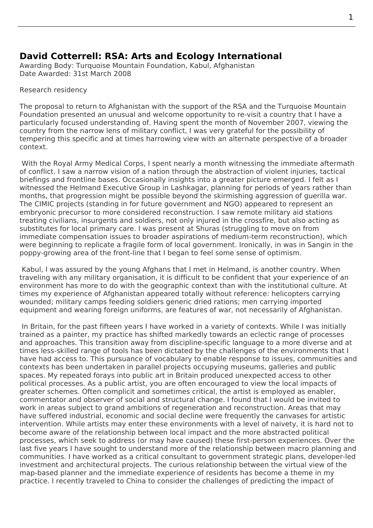## **David Cotterrell: RSA: Arts and Ecology International**

Awarding Body: Turquoise Mountain Foundation, Kabul, Afghanistan Date Awarded: 31st March 2008

## Research residency

The proposal to return to Afghanistan with the support of the RSA and the Turquoise Mountain Foundation presented an unusual and welcome opportunity to re-visit a country that I have a particularly focused understanding of. Having spent the month of November 2007, viewing the country from the narrow lens of military conflict, I was very grateful for the possibility of tempering this specific and at times harrowing view with an alternate perspective of a broader context.

 With the Royal Army Medical Corps, I spent nearly a month witnessing the immediate aftermath of conflict. I saw a narrow vision of a nation through the abstraction of violent injuries, tactical briefings and frontline bases. Occasionally insights into a greater picture emerged. I felt as I witnessed the Helmand Executive Group in Lashkagar, planning for periods of years rather than months, that progression might be possible beyond the skirmishing aggression of guerilla war. The CIMIC projects (standing in for future government and NGO) appeared to represent an embryonic precursor to more considered reconstruction. I saw remote military aid stations treating civilians, insurgents and soldiers, not only injured in the crossfire, but also acting as substitutes for local primary care. I was present at Shuras (struggling to move on from immediate compensation issues to broader aspirations of medium-term reconstruction), which were beginning to replicate a fragile form of local government. Ironically, in was in Sangin in the poppy-growing area of the front-line that I began to feel some sense of optimism.

 Kabul, I was assured by the young Afghans that I met in Helmand, is another country. When traveling with any military organisation, it is difficult to be confident that your experience of an environment has more to do with the geographic context than with the institutional culture. At times my experience of Afghanistan appeared totally without reference: helicopters carrying wounded; military camps feeding soldiers generic dried rations; men carrying imported equipment and wearing foreign uniforms, are features of war, not necessarily of Afghanistan.

 In Britain, for the past fifteen years I have worked in a variety of contexts. While I was initially trained as a painter, my practice has shifted markedly towards an eclectic range of processes and approaches. This transition away from discipline-specific language to a more diverse and at times less-skilled range of tools has been dictated by the challenges of the environments that I have had access to. This pursuance of vocabulary to enable response to issues, communities and contexts has been undertaken in parallel projects occupying museums, galleries and public spaces. My repeated forays into public art in Britain produced unexpected access to other political processes. As a public artist, you are often encouraged to view the local impacts of greater schemes. Often complicit and sometimes critical, the artist is employed as enabler, commentator and observer of social and structural change. I found that I would be invited to work in areas subject to grand ambitions of regeneration and reconstruction. Areas that may have suffered industrial, economic and social decline were frequently the canvases for artistic intervention. While artists may enter these environments with a level of naivety, it is hard not to become aware of the relationship between local impact and the more abstracted political processes, which seek to address (or may have caused) these first-person experiences. Over the last five years I have sought to understand more of the relationship between macro planning and communities. I have worked as a critical consultant to government strategic plans, developer-led investment and architectural projects. The curious relationship between the virtual view of the map-based planner and the immediate experience of residents has become a theme in my practice. I recently traveled to China to consider the challenges of predicting the impact of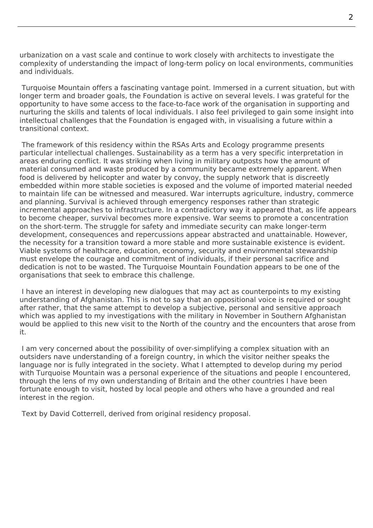urbanization on a vast scale and continue to work closely with architects to investigate the complexity of understanding the impact of long-term policy on local environments, communities and individuals.

 Turquoise Mountain offers a fascinating vantage point. Immersed in a current situation, but with longer term and broader goals, the Foundation is active on several levels. I was grateful for the opportunity to have some access to the face-to-face work of the organisation in supporting and nurturing the skills and talents of local individuals. I also feel privileged to gain some insight into intellectual challenges that the Foundation is engaged with, in visualising a future within a transitional context.

 The framework of this residency within the RSAs Arts and Ecology programme presents particular intellectual challenges. Sustainability as a term has a very specific interpretation in areas enduring conflict. It was striking when living in military outposts how the amount of material consumed and waste produced by a community became extremely apparent. When food is delivered by helicopter and water by convoy, the supply network that is discreetly embedded within more stable societies is exposed and the volume of imported material needed to maintain life can be witnessed and measured. War interrupts agriculture, industry, commerce and planning. Survival is achieved through emergency responses rather than strategic incremental approaches to infrastructure. In a contradictory way it appeared that, as life appears to become cheaper, survival becomes more expensive. War seems to promote a concentration on the short-term. The struggle for safety and immediate security can make longer-term development, consequences and repercussions appear abstracted and unattainable. However, the necessity for a transition toward a more stable and more sustainable existence is evident. Viable systems of healthcare, education, economy, security and environmental stewardship must envelope the courage and commitment of individuals, if their personal sacrifice and dedication is not to be wasted. The Turquoise Mountain Foundation appears to be one of the organisations that seek to embrace this challenge.

 I have an interest in developing new dialogues that may act as counterpoints to my existing understanding of Afghanistan. This is not to say that an oppositional voice is required or sought after rather, that the same attempt to develop a subjective, personal and sensitive approach which was applied to my investigations with the military in November in Southern Afghanistan would be applied to this new visit to the North of the country and the encounters that arose from it.

 I am very concerned about the possibility of over-simplifying a complex situation with an outsiders nave understanding of a foreign country, in which the visitor neither speaks the language nor is fully integrated in the society. What I attempted to develop during my period with Turquoise Mountain was a personal experience of the situations and people I encountered, through the lens of my own understanding of Britain and the other countries I have been fortunate enough to visit, hosted by local people and others who have a grounded and real interest in the region.

Text by David Cotterrell, derived from original residency proposal.